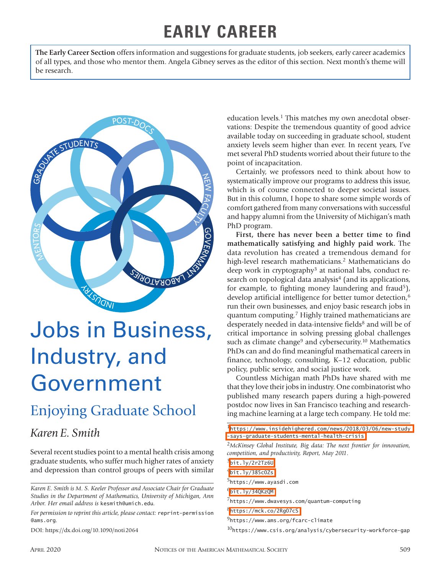## **EARLY CAREER**

**The Early Career Section** offers information and suggestions for graduate students, job seekers, early career academics of all types, and those who mentor them. Angela Gibney serves as the editor of this section. Next month's theme will be research.



# Jobs in Business, Industry, and Government

### Enjoying Graduate School

#### *Karen E. Smith*

Several recent studies point to a mental health crisis among graduate students, who suffer much higher rates of anxiety and depression than control groups of peers with similar

*For permission to reprint this article, please contact:* reprint-permission @ams.org.

DOI: https://dx.doi.org/10.1090/noti2064

education levels.<sup>1</sup> This matches my own anecdotal observations: Despite the tremendous quantity of good advice available today on succeeding in graduate school, student anxiety levels seem higher than ever. In recent years, I've met several PhD students worried about their future to the point of incapacitation.

Certainly, we professors need to think about how to systematically improve our programs to address this issue, which is of course connected to deeper societal issues. But in this column, I hope to share some simple words of comfort gathered from many conversations with successful and happy alumni from the University of Michigan's math PhD program.

**First, there has never been a better time to find mathematically satisfying and highly paid work.** The data revolution has created a tremendous demand for high-level research mathematicians.<sup>2</sup> Mathematicians do deep work in cryptography3 at national labs, conduct research on topological data analysis<sup>4</sup> (and its applications, for example, to fighting money laundering and fraud<sup>5</sup>), develop artificial intelligence for better tumor detection,<sup>6</sup> run their own businesses, and enjoy basic research jobs in quantum computing.7 Highly trained mathematicians are desperately needed in data-intensive fields<sup>8</sup> and will be of critical importance in solving pressing global challenges such as climate change<sup>9</sup> and cybersecurity.<sup>10</sup> Mathematics PhDs can and do find meaningful mathematical careers in finance, technology, consulting, K–12 education, public policy, public service, and social justice work.

Countless Michigan math PhDs have shared with me that they love their jobs in industry. One combinatorist who published many research papers during a high-powered postdoc now lives in San Francisco teaching and researching machine learning at a large tech company. He told me:

 $3$ [bit.ly/2r2Tz6U](http://bit.ly/2r2Tz6U)

8<https://mck.co/2Rg07cS>

10https://www.csis.org/analysis/cybersecurity-workforce-gap

*Karen E. Smith is M. S. Keeler Professor and Associate Chair for Graduate Studies in the Department of Mathematics, University of Michigan, Ann Arbor. Her email address is* kesmith@umich.edu*.*

<sup>1</sup>[https://www.insidehighered.com/news/2018/03/06/new-study](https://www.insidehighered.com/news/2018/03/06/new-study-says-graduate-students-mental-health-crisis) [-says-graduate-students-mental-health-crisis](https://www.insidehighered.com/news/2018/03/06/new-study-says-graduate-students-mental-health-crisis)

<sup>2</sup>*McKinsey Global Institute, Big data: The next frontier for innovation, competition, and productivity, Report, May 2011.*

 $4$ [bit.ly/385c0Zs](http://bit.ly/385c0Zs)

<sup>5</sup>https://www.ayasdi.com

 $<sup>6</sup>$ [bit.ly/34QKzQM](http://bit.ly/34QKzQM)</sup>

<sup>7</sup>https://www.dwavesys.com/quantum-computing

<sup>9</sup>https://www.ams.org/fcarc-climate